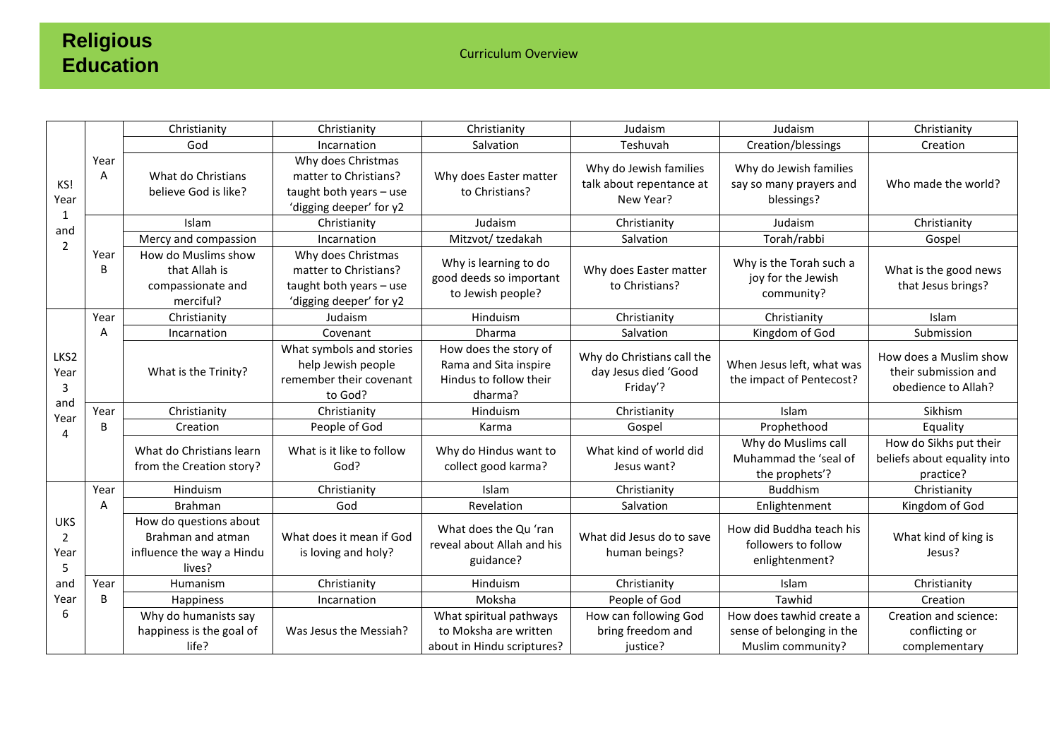## **Religious Education**

Curriculum Overview

| KS!<br>Year<br>$\mathbf{1}$<br>and<br>$\overline{2}$ | Year<br>A | Christianity                                                                       | Christianity                                                                                      | Christianity                                                                        | Judaism                                                         | Judaism                                                                    | Christianity                                                          |
|------------------------------------------------------|-----------|------------------------------------------------------------------------------------|---------------------------------------------------------------------------------------------------|-------------------------------------------------------------------------------------|-----------------------------------------------------------------|----------------------------------------------------------------------------|-----------------------------------------------------------------------|
|                                                      |           | God                                                                                | Incarnation                                                                                       | Salvation                                                                           | Teshuvah                                                        | Creation/blessings                                                         | Creation                                                              |
|                                                      |           | What do Christians<br>believe God is like?                                         | Why does Christmas<br>matter to Christians?<br>taught both years - use<br>'digging deeper' for y2 | Why does Easter matter<br>to Christians?                                            | Why do Jewish families<br>talk about repentance at<br>New Year? | Why do Jewish families<br>say so many prayers and<br>blessings?            | Who made the world?                                                   |
|                                                      |           | Islam                                                                              | Christianity                                                                                      | Judaism                                                                             | Christianity                                                    | Judaism                                                                    | Christianity                                                          |
|                                                      |           | Mercy and compassion                                                               | Incarnation                                                                                       | Mitzvot/tzedakah                                                                    | Salvation                                                       | Torah/rabbi                                                                | Gospel                                                                |
|                                                      | Year<br>B | How do Muslims show<br>that Allah is<br>compassionate and<br>merciful?             | Why does Christmas<br>matter to Christians?<br>taught both years - use<br>'digging deeper' for y2 | Why is learning to do<br>good deeds so important<br>to Jewish people?               | Why does Easter matter<br>to Christians?                        | Why is the Torah such a<br>joy for the Jewish<br>community?                | What is the good news<br>that Jesus brings?                           |
| LKS2<br>Year<br>3<br>and<br>Year<br>4                | Year      | Christianity                                                                       | Judaism                                                                                           | Hinduism                                                                            | Christianity                                                    | Christianity                                                               | Islam                                                                 |
|                                                      | A         | Incarnation                                                                        | Covenant                                                                                          | <b>Dharma</b>                                                                       | Salvation                                                       | Kingdom of God                                                             | Submission                                                            |
|                                                      |           | What is the Trinity?                                                               | What symbols and stories<br>help Jewish people<br>remember their covenant<br>to God?              | How does the story of<br>Rama and Sita inspire<br>Hindus to follow their<br>dharma? | Why do Christians call the<br>day Jesus died 'Good<br>Friday'?  | When Jesus left, what was<br>the impact of Pentecost?                      | How does a Muslim show<br>their submission and<br>obedience to Allah? |
|                                                      | Year      | Christianity                                                                       | Christianity                                                                                      | Hinduism                                                                            | Christianity                                                    | Islam                                                                      | Sikhism                                                               |
|                                                      | B         | Creation                                                                           | People of God                                                                                     | Karma                                                                               | Gospel                                                          | Prophethood                                                                | Equality                                                              |
|                                                      |           | What do Christians learn<br>from the Creation story?                               | What is it like to follow<br>God?                                                                 | Why do Hindus want to<br>collect good karma?                                        | What kind of world did<br>Jesus want?                           | Why do Muslims call<br>Muhammad the 'seal of<br>the prophets'?             | How do Sikhs put their<br>beliefs about equality into<br>practice?    |
| <b>UKS</b><br>2<br>Year<br>5                         | Year      | Hinduism                                                                           | Christianity                                                                                      | Islam                                                                               | Christianity                                                    | <b>Buddhism</b>                                                            | Christianity                                                          |
|                                                      | A         | <b>Brahman</b>                                                                     | God                                                                                               | Revelation                                                                          | Salvation                                                       | Enlightenment                                                              | Kingdom of God                                                        |
|                                                      |           | How do questions about<br>Brahman and atman<br>influence the way a Hindu<br>lives? | What does it mean if God<br>is loving and holy?                                                   | What does the Qu'ran<br>reveal about Allah and his<br>guidance?                     | What did Jesus do to save<br>human beings?                      | How did Buddha teach his<br>followers to follow<br>enlightenment?          | What kind of king is<br>Jesus?                                        |
| and                                                  | Year      | Humanism                                                                           | Christianity                                                                                      | Hinduism                                                                            | Christianity                                                    | Islam                                                                      | Christianity                                                          |
| Year                                                 | B         | Happiness                                                                          | Incarnation                                                                                       | Moksha                                                                              | People of God                                                   | Tawhid                                                                     | Creation                                                              |
| 6                                                    |           | Why do humanists say<br>happiness is the goal of<br>life?                          | Was Jesus the Messiah?                                                                            | What spiritual pathways<br>to Moksha are written<br>about in Hindu scriptures?      | How can following God<br>bring freedom and<br>justice?          | How does tawhid create a<br>sense of belonging in the<br>Muslim community? | Creation and science:<br>conflicting or<br>complementary              |
|                                                      |           |                                                                                    |                                                                                                   |                                                                                     |                                                                 |                                                                            |                                                                       |